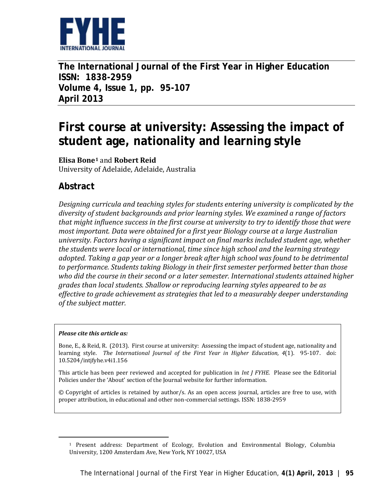

**The International Journal of the First Year in Higher Education ISSN: 1838-2959 Volume 4, Issue 1, pp. 95-107 April 2013**

# **First course at university: Assessing the impact of student age, nationality and learning style**

**Elisa Bone[1](#page-0-0)** and **Robert Reid** University of Adelaide, Adelaide, Australia

# **Abstract**

*Designing curricula and teaching styles for students entering university is complicated by the diversity of student backgrounds and prior learning styles. We examined a range of factors that might influence success in the first course at university to try to identify those that were most important. Data were obtained for a first year Biology course at a large Australian university. Factors having a significant impact on final marks included student age, whether the students were local or international, time since high school and the learning strategy adopted. Taking a gap year or a longer break after high school was found to be detrimental to performance. Students taking Biology in their first semester performed better than those who did the course in their second or a later semester. International students attained higher grades than local students. Shallow or reproducing learning styles appeared to be as effective to grade achievement as strategies that led to a measurably deeper understanding of the subject matter.*

#### *Please cite this article as:*

<span id="page-0-0"></span>1

Bone, E., & Reid, R. (2013). First course at university: Assessing the impact of student age, nationality and learning style. *The International Journal of the First Year in Higher Education, 4*(1). 95-107. doi: 10.5204/intjfyhe.v4i1.156

This article has been peer reviewed and accepted for publication in *Int J FYHE.* Please see the Editorial Policies under the 'About' section of the Journal website for further information.

© Copyright of articles is retained by author/s. As an open access journal, articles are free to use, with proper attribution, in educational and other non-commercial settings. ISSN: 1838-2959

<sup>1</sup> Present address: Department of Ecology, Evolution and Environmental Biology, Columbia University, 1200 Amsterdam Ave, New York, NY 10027, USA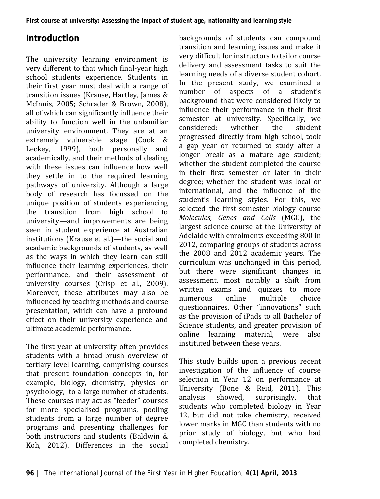# **Introduction**

The university learning environment is very different to that which final-year high school students experience. Students in their first year must deal with a range of transition issues (Krause, Hartley, James & McInnis, 2005; Schrader & Brown, 2008), all of which can significantly influence their ability to function well in the unfamiliar university environment. They are at an extremely vulnerable stage (Cook & Leckey, 1999), both personally and academically, and their methods of dealing with these issues can influence how well they settle in to the required learning pathways of university. Although a large body of research has focussed on the unique position of students experiencing the transition from high school to university—and improvements are being seen in student experience at Australian institutions (Krause et al.)—the social and academic backgrounds of students, as well as the ways in which they learn can still influence their learning experiences, their performance, and their assessment of university courses (Crisp et al., 2009). Moreover, these attributes may also be influenced by teaching methods and course presentation, which can have a profound effect on their university experience and ultimate academic performance.

The first year at university often provides students with a broad-brush overview of tertiary-level learning, comprising courses that present foundation concepts in, for example, biology, chemistry, physics or psychology, to a large number of students. These courses may act as "feeder" courses for more specialised programs, pooling students from a large number of degree programs and presenting challenges for both instructors and students (Baldwin & Koh, 2012). Differences in the social

backgrounds of students can compound transition and learning issues and make it very difficult for instructors to tailor course delivery and assessment tasks to suit the learning needs of a diverse student cohort. In the present study, we examined a number of aspects of a student's background that were considered likely to influence their performance in their first semester at university. Specifically, we<br>considered: whether the student considered: whether the student progressed directly from high school, took a gap year or returned to study after a longer break as a mature age student; whether the student completed the course in their first semester or later in their degree; whether the student was local or international, and the influence of the student's learning styles. For this, we selected the first-semester biology course *Molecules, Genes and Cells* (MGC), the largest science course at the University of Adelaide with enrolments exceeding 800 in 2012, comparing groups of students across the 2008 and 2012 academic years. The curriculum was unchanged in this period, but there were significant changes in assessment, most notably a shift from written exams and quizzes to more<br>numerous online multiple choice numerous online multiple choice questionnaires. Other "innovations" such as the provision of iPads to all Bachelor of Science students, and greater provision of online learning material, were also instituted between these years.

This study builds upon a previous recent investigation of the influence of course selection in Year 12 on performance at University (Bone & Reid, 2011). This<br>analysis showed. surprisingly. that surprisingly, students who completed biology in Year 12, but did not take chemistry, received lower marks in MGC than students with no prior study of biology, but who had completed chemistry.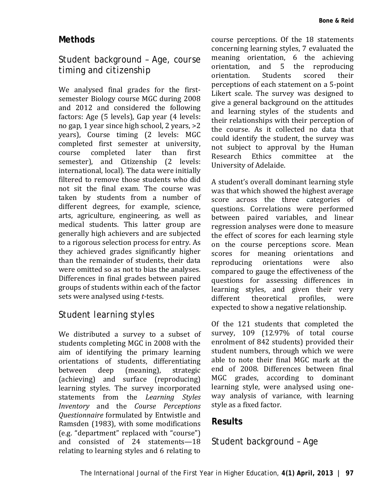#### **Methods**

### *Student background – Age, course timing and citizenship*

We analysed final grades for the firstsemester Biology course MGC during 2008 and 2012 and considered the following factors: Age (5 levels), Gap year (4 levels: no gap, 1 year since high school, 2 years, >2 years), Course timing (2 levels: MGC completed first semester at university, course completed later than first semester), and Citizenship (2 levels: international, local). The data were initially filtered to remove those students who did not sit the final exam. The course was taken by students from a number of different degrees, for example, science, arts, agriculture, engineering, as well as medical students. This latter group are generally high achievers and are subjected to a rigorous selection process for entry. As they achieved grades significantly higher than the remainder of students, their data were omitted so as not to bias the analyses. Differences in final grades between paired groups of students within each of the factor sets were analysed using *t*-tests.

### *Student learning styles*

We distributed a survey to a subset of students completing MGC in 2008 with the aim of identifying the primary learning orientations of students, differentiating<br>between deep (meaning), strategic between deep (meaning), strategic (achieving) and surface (reproducing) learning styles. The survey incorporated statements from the *Learning Styles Inventory* and the *Course Perceptions Questionnaire* formulated by Entwistle and Ramsden (1983), with some modifications (e.g. "department" replaced with "course") and consisted of 24 statements—18 relating to learning styles and 6 relating to

course perceptions. Of the 18 statements concerning learning styles, 7 evaluated the meaning orientation, 6 the achieving<br>orientation, and 5 the reproducing orientation, and 5 the reproducing<br>orientation. Students scored their orientation. Students scored their perceptions of each statement on a 5-point Likert scale. The survey was designed to give a general background on the attitudes and learning styles of the students and their relationships with their perception of the course. As it collected no data that could identify the student, the survey was not subject to approval by the Human<br>Research Ethics committee at the Research Ethics committee at University of Adelaide.

A student's overall dominant learning style was that which showed the highest average score across the three categories of questions. Correlations were performed between paired variables, and linear regression analyses were done to measure the effect of scores for each learning style on the course perceptions score. Mean scores for meaning orientations and<br>reproducing orientations were also reproducing orientations compared to gauge the effectiveness of the questions for assessing differences in learning styles, and given their very<br>different theoretical profiles. were different theoretical profiles, were expected to show a negative relationship.

Of the 121 students that completed the survey, 109 (12.97% of total course enrolment of 842 students) provided their student numbers, through which we were able to note their final MGC mark at the end of 2008. Differences between final MGC grades, according to dominant learning style, were analysed using oneway analysis of variance, with learning style as a fixed factor.

### **Results**

### *Student background – Age*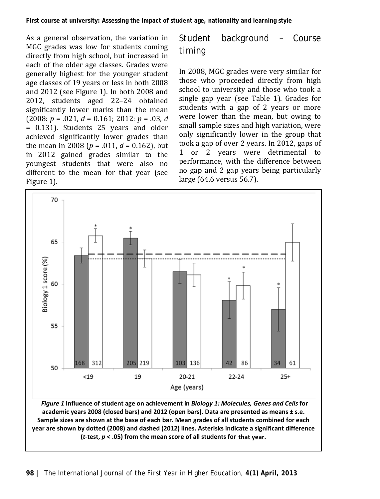As a general observation, the variation in MGC grades was low for students coming directly from high school, but increased in each of the older age classes. Grades were generally highest for the younger student age classes of 19 years or less in both 2008 and 2012 (see Figure 1). In both 2008 and 2012, students aged 22–24 obtained significantly lower marks than the mean (2008: *p* = .021, *d* = 0.161; 2012: *p* = .03, *d* = 0.131). Students 25 years and older achieved significantly lower grades than the mean in 2008 ( $p = .011$ ,  $d = 0.162$ ), but in 2012 gained grades similar to the youngest students that were also no different to the mean for that year (see Figure 1).

# *Student background – Course timing*

In 2008, MGC grades were very similar for those who proceeded directly from high school to university and those who took a single gap year (see Table 1). Grades for students with a gap of 2 years or more were lower than the mean, but owing to small sample sizes and high variation, were only significantly lower in the group that took a gap of over 2 years. In 2012, gaps of 1 or 2 years were detrimental to performance, with the difference between no gap and 2 gap years being particularly large (64.6 versus 56.7).

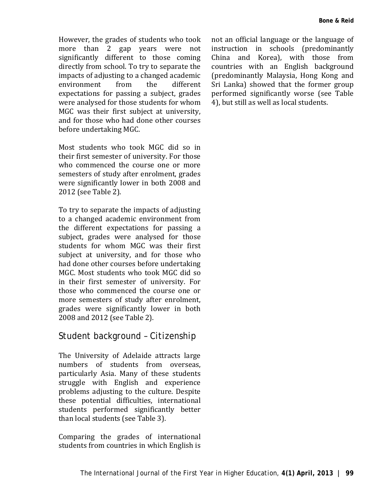However, the grades of students who took more than 2 gap years were not significantly different to those coming directly from school. To try to separate the impacts of adjusting to a changed academic environment from the different expectations for passing a subject, grades were analysed for those students for whom MGC was their first subject at university, and for those who had done other courses before undertaking MGC.

Most students who took MGC did so in their first semester of university. For those who commenced the course one or more semesters of study after enrolment, grades were significantly lower in both 2008 and 2012 (see Table 2).

To try to separate the impacts of adjusting to a changed academic environment from the different expectations for passing a subject, grades were analysed for those students for whom MGC was their first subject at university, and for those who had done other courses before undertaking MGC. Most students who took MGC did so in their first semester of university. For those who commenced the course one or more semesters of study after enrolment, grades were significantly lower in both 2008 and 2012 (see Table 2).

### *Student background – Citizenship*

The University of Adelaide attracts large numbers of students from overseas, particularly Asia. Many of these students struggle with English and experience problems adjusting to the culture. Despite these potential difficulties, international students performed significantly better than local students (see Table 3).

Comparing the grades of international students from countries in which English is

not an official language or the language of instruction in schools (predominantly China and Korea), with those from countries with an English background (predominantly Malaysia, Hong Kong and Sri Lanka) showed that the former group performed significantly worse (see Table 4), but still as well as local students.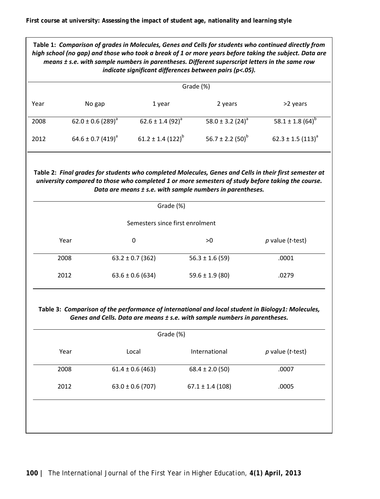| Table 1: Comparison of grades in Molecules, Genes and Cells for students who continued directly from<br>high school (no gap) and those who took a break of 1 or more years before taking the subject. Data are<br>means ± s.e. with sample numbers in parentheses. Different superscript letters in the same row<br>indicate significant differences between pairs (p<.05). |                                   |                         |                       |                         |  |  |  |  |
|-----------------------------------------------------------------------------------------------------------------------------------------------------------------------------------------------------------------------------------------------------------------------------------------------------------------------------------------------------------------------------|-----------------------------------|-------------------------|-----------------------|-------------------------|--|--|--|--|
|                                                                                                                                                                                                                                                                                                                                                                             | Grade (%)                         |                         |                       |                         |  |  |  |  |
| Year                                                                                                                                                                                                                                                                                                                                                                        | No gap                            | 1 year                  | 2 years               | >2 years                |  |  |  |  |
| 2008                                                                                                                                                                                                                                                                                                                                                                        | 62.0 ± 0.6 (289) <sup>a</sup>     | 62.6 ± 1.4 $(92)^{a}$   | 58.0 ± 3.2 $(24)^a$   | 58.1 ± 1.8 $(64)^{b}$   |  |  |  |  |
| 2012                                                                                                                                                                                                                                                                                                                                                                        | $64.6 \pm 0.7$ (419) <sup>a</sup> | $61.2 \pm 1.4(122)^{b}$ | 56.7 ± 2.2 $(50)^{b}$ | $62.3 \pm 1.5(113)^{d}$ |  |  |  |  |
| Table 2: Final grades for students who completed Molecules, Genes and Cells in their first semester at<br>university compared to those who completed 1 or more semesters of study before taking the course.<br>Data are means ± s.e. with sample numbers in parentheses.<br>Grade (%)                                                                                       |                                   |                         |                       |                         |  |  |  |  |
| Semesters since first enrolment                                                                                                                                                                                                                                                                                                                                             |                                   |                         |                       |                         |  |  |  |  |
|                                                                                                                                                                                                                                                                                                                                                                             | Year                              | 0                       | >0                    | $p$ value (t-test)      |  |  |  |  |
|                                                                                                                                                                                                                                                                                                                                                                             | 2008                              | $63.2 \pm 0.7$ (362)    | $56.3 \pm 1.6 (59)$   | .0001                   |  |  |  |  |
| 2012                                                                                                                                                                                                                                                                                                                                                                        |                                   | $63.6 \pm 0.6$ (634)    | $59.6 \pm 1.9$ (80)   | .0279                   |  |  |  |  |
| Table 3: Comparison of the performance of international and local student in Biology1: Molecules,<br>Genes and Cells. Data are means ± s.e. with sample numbers in parentheses.<br>Grade (%)                                                                                                                                                                                |                                   |                         |                       |                         |  |  |  |  |
|                                                                                                                                                                                                                                                                                                                                                                             | Year                              | Local                   | International         | $p$ value (t-test)      |  |  |  |  |
|                                                                                                                                                                                                                                                                                                                                                                             | 2008                              | $61.4 \pm 0.6$ (463)    | $68.4 \pm 2.0$ (50)   | .0007                   |  |  |  |  |
|                                                                                                                                                                                                                                                                                                                                                                             | 2012                              | $63.0 \pm 0.6$ (707)    | $67.1 \pm 1.4$ (108)  | .0005                   |  |  |  |  |
|                                                                                                                                                                                                                                                                                                                                                                             |                                   |                         |                       |                         |  |  |  |  |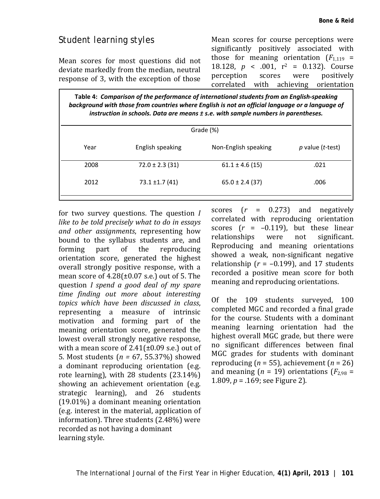#### *Student learning styles*

Mean scores for most questions did not deviate markedly from the median, neutral response of 3, with the exception of those Mean scores for course perceptions were significantly positively associated with those for meaning orientation  $(F_{1,119} =$ 18.128,  $p < .001$ ,  $r^2 = 0.132$ ). Course<br>perception scores were positively perception scores were positively correlated with achieving orientation

**Table 4:** *Comparison of the performance of international students from an English-speaking*  background with those from countries where English is not an official language or a language of *instruction in schools. Data are means ± s.e. with sample numbers in parentheses.*

| Grade (%) |                     |                      |                    |  |  |  |
|-----------|---------------------|----------------------|--------------------|--|--|--|
| Year      | English speaking    | Non-English speaking | $p$ value (t-test) |  |  |  |
| 2008      | $72.0 \pm 2.3$ (31) | $61.1 \pm 4.6$ (15)  | .021               |  |  |  |
| 2012      | 73.1 ±1.7 (41)      | $65.0 \pm 2.4$ (37)  | .006               |  |  |  |

for two survey questions. The question *I like to be told precisely what to do in essays and other assignments*, representing how bound to the syllabus students are, and<br>forming part of the reproducing forming part of the reproducing orientation score, generated the highest overall strongly positive response, with a mean score of 4.28(±0.07 s.e.) out of 5. The question *I spend a good deal of my spare time finding out more about interesting topics which have been discussed in class*, representing a measure of intrinsic motivation and forming part of the meaning orientation score, generated the lowest overall strongly negative response, with a mean score of  $2.41(\pm 0.09 \text{ s.e.})$  out of 5. Most students (*n =* 67, 55.37%) showed a dominant reproducing orientation (e.g. rote learning), with 28 students (23.14%) showing an achievement orientation (e.g. strategic learning), and 26 students (19.01%) a dominant meaning orientation (e.g. interest in the material, application of information). Three students (2.48%) were recorded as not having a dominant learning style.

scores (*r* = 0.273) and negatively correlated with reproducing orientation scores  $(r = -0.119)$ , but these linear relationships were not significant. relationships were not significant. Reproducing and meaning orientations showed a weak, non-significant negative relationship ( $r = -0.199$ ), and 17 students recorded a positive mean score for both meaning and reproducing orientations.

Of the 109 students surveyed, 100 completed MGC and recorded a final grade for the course. Students with a dominant meaning learning orientation had the highest overall MGC grade, but there were no significant differences between final MGC grades for students with dominant reproducing  $(n = 55)$ , achievement  $(n = 26)$ and meaning  $(n = 19)$  orientations  $(F_{2.98} =$ 1.809, *p* = .169; see Figure 2).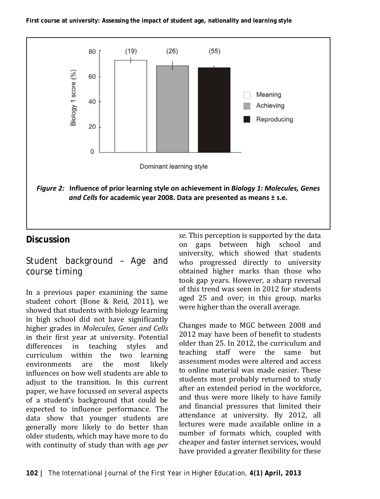

### **Discussion**

# *Student background – Age and course timing*

In a previous paper examining the same student cohort (Bone & Reid, 2011), we showed that students with biology learning in high school did not have significantly higher grades in *Molecules, Genes and Cells* in their first year at university. Potential<br>differences in teaching styles and differences in curriculum within the two learning environments are the most likely influences on how well students are able to adjust to the transition. In this current paper, we have focussed on several aspects of a student's background that could be expected to influence performance. The data show that younger students are generally more likely to do better than older students, which may have more to do with continuity of study than with age *per*  *se*. This perception is supported by the data gaps between high school and university, which showed that students who progressed directly to university obtained higher marks than those who took gap years. However, a sharp reversal of this trend was seen in 2012 for students aged 25 and over; in this group, marks were higher than the overall average.

Changes made to MGC between 2008 and 2012 may have been of benefit to students older than 25. In 2012, the curriculum and teaching staff were the same but assessment modes were altered and access to online material was made easier. These students most probably returned to study after an extended period in the workforce, and thus were more likely to have family and financial pressures that limited their attendance at university. By 2012, all lectures were made available online in a number of formats which, coupled with cheaper and faster internet services, would have provided a greater flexibility for these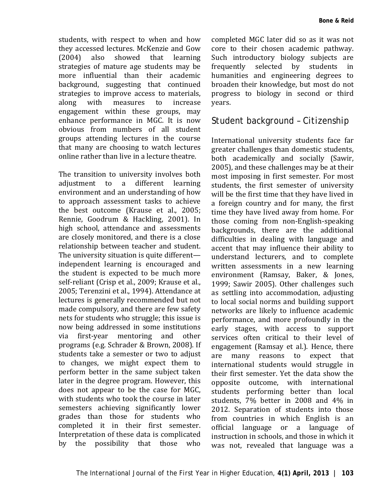students, with respect to when and how they accessed lectures. McKenzie and Gow<br>(2004) also showed that learning (2004) also showed that learning strategies of mature age students may be more influential than their academic background, suggesting that continued strategies to improve access to materials,<br>along with measures to increase along with measures to increase engagement within these groups, may enhance performance in MGC. It is now obvious from numbers of all student groups attending lectures in the course that many are choosing to watch lectures online rather than live in a lecture theatre.

The transition to university involves both adjustment to a different learning environment and an understanding of how to approach assessment tasks to achieve the best outcome (Krause et al., 2005; Rennie, Goodrum & Hackling, 2001). In high school, attendance and assessments are closely monitored, and there is a close relationship between teacher and student. The university situation is quite different independent learning is encouraged and the student is expected to be much more self-reliant (Crisp et al., 2009; Krause et al., 2005; Terenzini et al., 1994). Attendance at lectures is generally recommended but not made compulsory, and there are few safety nets for students who struggle; this issue is now being addressed in some institutions<br>via first-vear mentoring and other first-year mentoring programs (e.g. Schrader & Brown, 2008). If students take a semester or two to adjust to changes, we might expect them to perform better in the same subject taken later in the degree program. However, this does not appear to be the case for MGC, with students who took the course in later semesters achieving significantly lower grades than those for students who completed it in their first semester. Interpretation of these data is complicated by the possibility that those who

completed MGC later did so as it was not core to their chosen academic pathway. Such introductory biology subjects are<br>frequently selected by students in frequently selected by students humanities and engineering degrees to broaden their knowledge, but most do not progress to biology in second or third years.

#### *Student background – Citizenship*

International university students face far greater challenges than domestic students, both academically and socially (Sawir, 2005), and these challenges may be at their most imposing in first semester. For most students, the first semester of university will be the first time that they have lived in a foreign country and for many, the first time they have lived away from home. For those coming from non-English-speaking backgrounds, there are the additional difficulties in dealing with language and accent that may influence their ability to understand lecturers, and to complete written assessments in a new learning environment (Ramsay, Baker, & Jones, 1999; Sawir 2005). Other challenges such as settling into accommodation, adjusting to local social norms and building support networks are likely to influence academic performance, and more profoundly in the early stages, with access to support services often critical to their level of engagement (Ramsay et al.). Hence, there are many reasons to expect that international students would struggle in their first semester. Yet the data show the opposite outcome, with international students performing better than local students, 7% better in 2008 and 4% in 2012. Separation of students into those from countries in which English is an official language or a language of language or a language instruction in schools, and those in which it was not, revealed that language was a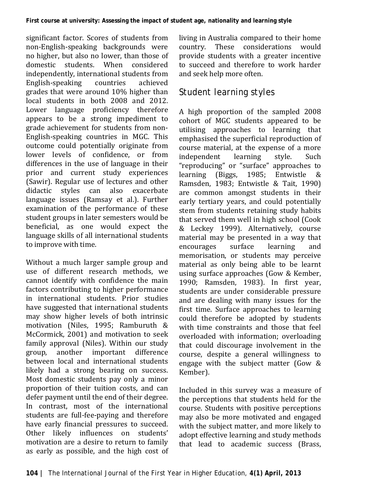significant factor. Scores of students from non-English-speaking backgrounds were no higher, but also no lower, than those of domestic students. When considered independently, international students from<br>English-speaking countries achieved English-speaking countries achieved grades that were around 10% higher than local students in both 2008 and 2012. Lower language proficiency therefore appears to be a strong impediment to grade achievement for students from non-English-speaking countries in MGC. This outcome could potentially originate from lower levels of confidence, or from differences in the use of language in their prior and current study experiences (Sawir). Regular use of lectures and other didactic styles can also exacerbate language issues (Ramsay et al.). Further examination of the performance of these student groups in later semesters would be beneficial, as one would expect the language skills of all international students to improve with time.

Without a much larger sample group and use of different research methods, we cannot identify with confidence the main factors contributing to higher performance in international students. Prior studies have suggested that international students may show higher levels of both intrinsic motivation (Niles, 1995; Ramburuth & McCormick, 2001) and motivation to seek family approval (Niles). Within our study<br>group, another important difference group, another important between local and international students likely had a strong bearing on success. Most domestic students pay only a minor proportion of their tuition costs, and can defer payment until the end of their degree. In contrast, most of the international students are full-fee-paying and therefore have early financial pressures to succeed. Other likely influences on students' motivation are a desire to return to family as early as possible, and the high cost of living in Australia compared to their home country. These considerations would provide students with a greater incentive to succeed and therefore to work harder and seek help more often.

# *Student learning styles*

A high proportion of the sampled 2008 cohort of MGC students appeared to be utilising approaches to learning that emphasised the superficial reproduction of course material, at the expense of a more independent learning style. Such "reproducing" or "surface" approaches to learning (Biggs, 1985; Entwistle & Ramsden, 1983; Entwistle & Tait, 1990) are common amongst students in their early tertiary years, and could potentially stem from students retaining study habits that served them well in high school (Cook & Leckey 1999). Alternatively, course material may be presented in a way that<br>encourages surface learning and encourages surface learning and memorisation, or students may perceive material as only being able to be learnt using surface approaches (Gow & Kember, 1990; Ramsden, 1983). In first year, students are under considerable pressure and are dealing with many issues for the first time. Surface approaches to learning could therefore be adopted by students with time constraints and those that feel overloaded with information; overloading that could discourage involvement in the course, despite a general willingness to engage with the subject matter (Gow & Kember).

Included in this survey was a measure of the perceptions that students held for the course. Students with positive perceptions may also be more motivated and engaged with the subject matter, and more likely to adopt effective learning and study methods that lead to academic success (Brass,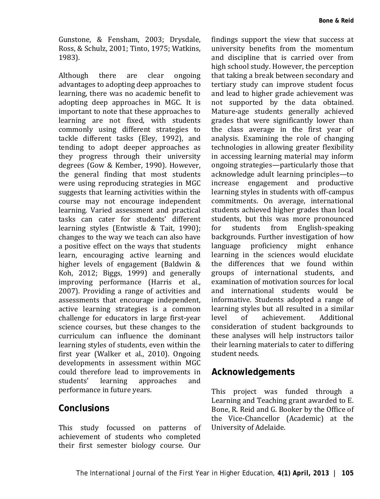Gunstone, & Fensham, 2003; Drysdale, Ross, & Schulz, 2001; Tinto, 1975; Watkins, 1983).

Although there are clear ongoing advantages to adopting deep approaches to learning, there was no academic benefit to adopting deep approaches in MGC. It is important to note that these approaches to learning are not fixed, with students commonly using different strategies to tackle different tasks (Eley, 1992), and tending to adopt deeper approaches as they progress through their university degrees (Gow & Kember, 1990). However, the general finding that most students were using reproducing strategies in MGC suggests that learning activities within the course may not encourage independent learning. Varied assessment and practical tasks can cater for students' different learning styles (Entwistle & Tait, 1990); changes to the way we teach can also have a positive effect on the ways that students learn, encouraging active learning and higher levels of engagement (Baldwin & Koh, 2012; Biggs, 1999) and generally improving performance (Harris et al., 2007). Providing a range of activities and assessments that encourage independent, active learning strategies is a common challenge for educators in large first-year science courses, but these changes to the curriculum can influence the dominant learning styles of students, even within the first year (Walker et al., 2010). Ongoing developments in assessment within MGC could therefore lead to improvements in<br>students' learning approaches and approaches performance in future years.

#### **Conclusions**

This study focussed on patterns of achievement of students who completed their first semester biology course. Our findings support the view that success at university benefits from the momentum and discipline that is carried over from high school study. However, the perception that taking a break between secondary and tertiary study can improve student focus and lead to higher grade achievement was not supported by the data obtained. Mature-age students generally achieved grades that were significantly lower than the class average in the first year of analysis. Examining the role of changing technologies in allowing greater flexibility in accessing learning material may inform ongoing strategies—particularly those that acknowledge adult learning principles—to increase engagement and productive learning styles in students with off-campus commitments. On average, international students achieved higher grades than local students, but this was more pronounced<br>for students from English-speaking English-speaking backgrounds. Further investigation of how language proficiency might enhance learning in the sciences would elucidate the differences that we found within groups of international students, and examination of motivation sources for local and international students would be informative. Students adopted a range of learning styles but all resulted in a similar level of achievement. Additional consideration of student backgrounds to these analyses will help instructors tailor their learning materials to cater to differing student needs.

#### **Acknowledgements**

This project was funded through a Learning and Teaching grant awarded to E. Bone, R. Reid and G. Booker by the Office of the Vice-Chancellor (Academic) at the University of Adelaide.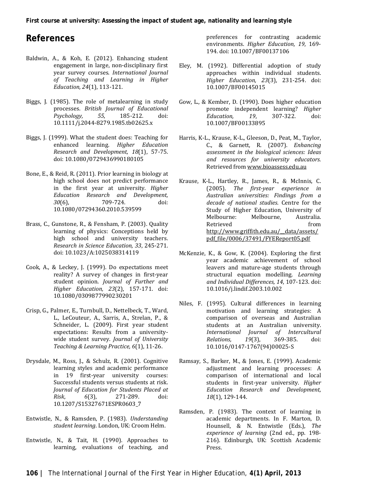#### **References**

- Baldwin, A., & Koh, E. (2012). Enhancing student engagement in large, non-disciplinary first year survey courses. *International Journal of Teaching and Learning in Higher Education, 24*(1), 113-121.
- Biggs, J. (1985). The role of metalearning in study processes. *British Journal of Educational Psychology,* 10.1111/j.2044-8279.1985.tb02625.x
- Biggs, J. (1999). What the student does: Teaching for enhanced learning. *Higher Education Research and Development, 18*(1), 57-75. doi: 10.1080/0729436990180105
- Bone, E., & Reid, R. (2011). Prior learning in biology at high school does not predict performance in the first year at university. *Higher Education Research and Development, 30*(6), 709-724. doi: 10.1080/07294360.2010.539599
- Brass, C., Gunstone, R., & Fensham, P. (2003). Quality learning of physics: Conceptions held by high school and university teachers. *Research in Science Education, 33*, 245-271. doi: 10.1023/A:1025038314119
- Cook, A., & Leckey, J. (1999). Do expectations meet reality? A survey of changes in first-year student opinion. *Journal of Further and Higher Education, 23*(2), 157-171. doi: 10.1080/0309877990230201
- Crisp, G., Palmer, E., Turnbull, D., Nettelbeck, T., Ward, L., LeCouteur, A., Sarris, A., Strelan, P., & Schneider, L. (2009). First year student expectations: Results from a universitywide student survey. *Journal of University Teaching & Learning Practice, 6*(1), 11-26.
- Drysdale, M., Ross, J., & Schulz, R. (2001). Cognitive learning styles and academic performance in 19 first-year university courses: Successful students versus students at risk. *Journal of Education for Students Placed at Risk*, *6*(3), 271-289. 10.1207/S15327671ESPR0603\_7
- Entwistle, N., & Ramsden, P. (1983). *Understanding student learning*. London, UK: Croom Helm.
- Entwistle, N., & Tait, H. (1990). Approaches to learning, evaluations of teaching, and

preferences for contrasting academic environments. *Higher Education, 19*, 169- 194. doi: 10.1007/BF00137106

- Eley, M. (1992). Differential adoption of study approaches within individual students. *Higher Education, 23*(3), 231-254. doi: 10.1007/BF00145015
- Gow, L., & Kember, D. (1990). Does higher education promote independent learning? *Higher Education.* 10.1007/BF00133895
- Harris, K-L., Krause, K-L., Gleeson, D., Peat, M., Taylor, C., & Garnett, R. (2007). *Enhancing assessment in the biological sciences: Ideas and resources for university educators.* Retrieved fro[m www.bioassess.edu.au](http://www.bioassess.edu.au/)
- Krause, K-L., Hartley, R., James, R., & McInnis, C. (2005). *The first-year experience in Australian universities: Findings from a decade of national studies*. Centre for the Study of Higher Education, University of Melbourne: Melbourne, Australia. Retrieved from [http://www.griffith.edu.au/\\_\\_data/assets/](http://www.griffith.edu.au/__data/assets/pdf_file/0006/37491/FYEReport05.pdf) [pdf\\_file/0006/37491/FYEReport05.pdf](http://www.griffith.edu.au/__data/assets/pdf_file/0006/37491/FYEReport05.pdf)
- McKenzie, K., & Gow, K. (2004). Exploring the first year academic achievement of school leavers and mature-age students through structural equation modelling. *Learning and Individual Differences, 14*, 107-123. doi: 10.1016/j.lindif.2003.10.002
- Niles, F. (1995). Cultural differences in learning motivation and learning strategies: A comparison of overseas and Australian students at an Australian university. *International Journal of Intercultural Relations, 19*(3), 369-385. doi: 10.1016/0147-1767(94)00025-S
- Ramsay, S., Barker, M., & Jones, E. (1999). Academic adjustment and learning processes: A comparison of international and local students in first-year university. *Higher Education Research and Development, 18*(1), 129-144.
- Ramsden, P. (1983). The context of learning in academic departments. In F. Marton, D. Hounsell, & N. Entwistle (Eds.), *The experience of learning* (2nd ed., pp. 198- 216). Edinburgh, UK: Scottish Academic Press.